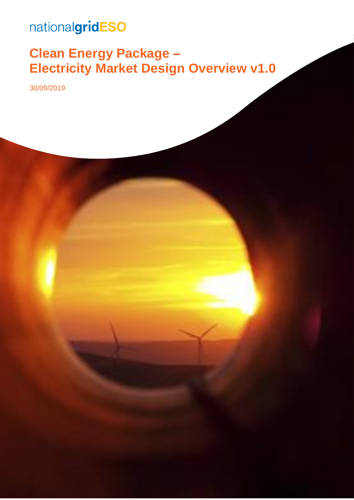## nationalgridESO

## **Clean Energy Package – Electricity Market Design Overview v1.0**

30/09/2019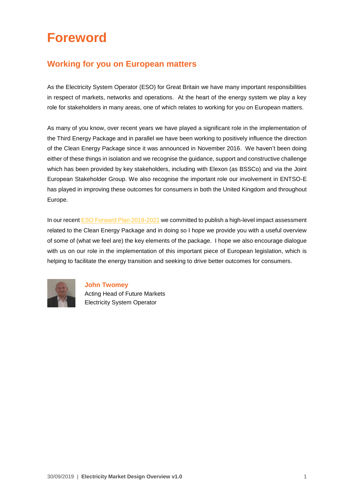## **Foreword**

#### **Working for you on European matters**

As the Electricity System Operator (ESO) for Great Britain we have many important responsibilities in respect of markets, networks and operations. At the heart of the energy system we play a key role for stakeholders in many areas, one of which relates to working for you on European matters.

As many of you know, over recent years we have played a significant role in the implementation of the Third Energy Package and in parallel we have been working to positively influence the direction of the Clean Energy Package since it was announced in November 2016. We haven't been doing either of these things in isolation and we recognise the guidance, support and constructive challenge which has been provided by key stakeholders, including with Elexon (as BSSCo) and via the Joint European Stakeholder Group. We also recognise the important role our involvement in ENTSO-E has played in improving these outcomes for consumers in both the United Kingdom and throughout Europe.

In our recen[t ESO Forward Plan 2019-2021](https://www.nationalgrideso.com/document/140736/download) we committed to publish a high-level impact assessment related to the Clean Energy Package and in doing so I hope we provide you with a useful overview of some of (what we feel are) the key elements of the package. I hope we also encourage dialogue with us on our role in the implementation of this important piece of European legislation, which is helping to facilitate the energy transition and seeking to drive better outcomes for consumers.



**John Twomey** Acting Head of Future Markets Electricity System Operator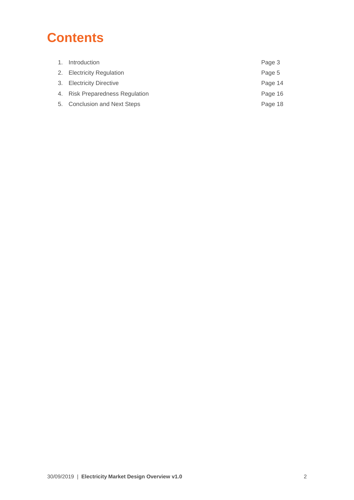## **Contents**

| 1. Introduction                 | Page 3  |
|---------------------------------|---------|
| 2. Electricity Regulation       | Page 5  |
| 3. Electricity Directive        | Page 14 |
| 4. Risk Preparedness Regulation | Page 16 |
| 5. Conclusion and Next Steps    | Page 18 |
|                                 |         |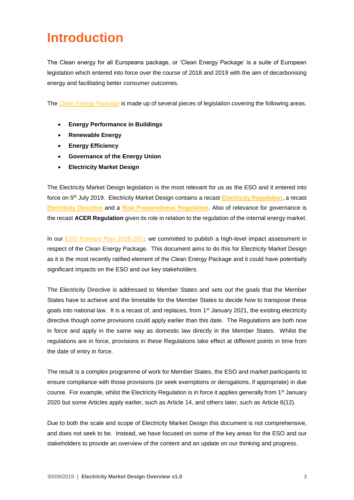### **Introduction**

The Clean energy for all Europeans package, or 'Clean Energy Package' is a suite of European legislation which entered into force over the course of 2018 and 2019 with the aim of decarbonising energy and facilitating better consumer outcomes.

The [Clean Energy Package](https://ec.europa.eu/energy/en/topics/energy-strategy-and-energy-union/clean-energy-all-europeans) is made up of several pieces of legislation covering the following areas.

- **Energy Performance in Buildings**
- **Renewable Energy**
- **Energy Efficiency**
- **Governance of the Energy Union**
- **Electricity Market Design**

The Electricity Market Design legislation is the most relevant for us as the ESO and it entered into force on 5th July 2019. Electricity Market Design contains a recast **[Electricity Regulation](https://eur-lex.europa.eu/legal-content/EN/TXT/?uri=uriserv:OJ.L_.2019.158.01.0054.01.ENG&toc=OJ:L:2019:158:TOC)**, a recast **[Electricity Directive](https://eur-lex.europa.eu/legal-content/EN/TXT/?uri=uriserv:OJ.L_.2019.158.01.0125.01.ENG&toc=OJ:L:2019:158:TOC)** and a **[Risk Preparedness Regulation](https://eur-lex.europa.eu/legal-content/EN/TXT/?uri=uriserv:OJ.L_.2019.158.01.0001.01.ENG&toc=OJ:L:2019:158:TOC)**. Also of relevance for governance is the recast **ACER Regulation** given its role in relation to the regulation of the internal energy market.

In our **ESO Forward Plan 2019-2021** we committed to publish a high-level impact assessment in respect of the Clean Energy Package. This document aims to do this for Electricity Market Design as it is the most recently ratified element of the Clean Energy Package and it could have potentially significant impacts on the ESO and our key stakeholders.

The Electricity Directive is addressed to Member States and sets out the goals that the Member States have to achieve and the timetable for the Member States to decide how to transpose these goals into national law. It is a recast of, and replaces, from  $1<sup>st</sup>$  January 2021, the existing electricity directive though some provisions could apply earlier than this date. The Regulations are both now in force and apply in the same way as domestic law directly in the Member States. Whilst the regulations are in force, provisions in these Regulations take effect at different points in time from the date of entry in force.

The result is a complex programme of work for Member States, the ESO and market participants to ensure compliance with those provisions (or seek exemptions or derogations, if appropriate) in due course. For example, whilst the Electricity Regulation is in force it applies generally from 1<sup>st</sup> January 2020 but some Articles apply earlier, such as Article 14, and others later, such as Article 6(12).

Due to both the scale and scope of Electricity Market Design this document is not comprehensive, and does not seek to be. Instead, we have focused on some of the key areas for the ESO and our stakeholders to provide an overview of the content and an update on our thinking and progress.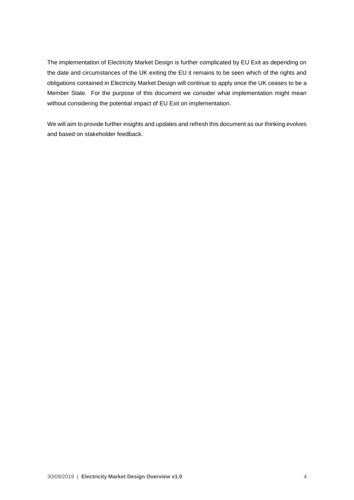The implementation of Electricity Market Design is further complicated by EU Exit as depending on the date and circumstances of the UK exiting the EU it remains to be seen which of the rights and obligations contained in Electricity Market Design will continue to apply once the UK ceases to be a Member State. For the purpose of this document we consider what implementation might mean without considering the potential impact of EU Exit on implementation.

We will aim to provide further insights and updates and refresh this document as our thinking evolves and based on stakeholder feedback.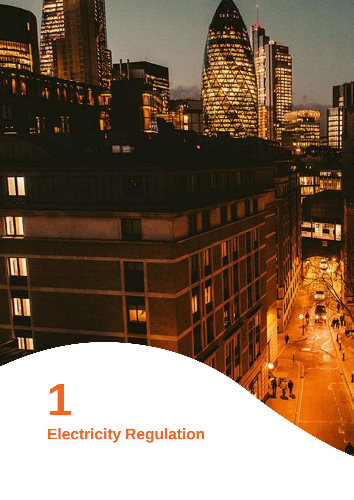# **Electricity Regulation**

**1**

 $\mathbb{H}$  ,  $\mathbb{H}$ 

I

 $\blacksquare$ 

M

**III** 

 $\mathbf{u}$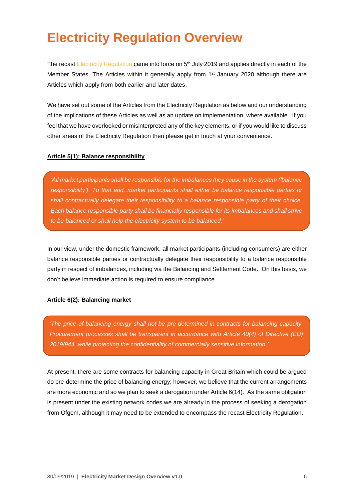### **Electricity Regulation Overview**

The recast [Electricity Regulation](https://eur-lex.europa.eu/legal-content/EN/TXT/?uri=uriserv:OJ.L_.2019.158.01.0054.01.ENG&toc=OJ:L:2019:158:TOC) came into force on 5<sup>th</sup> July 2019 and applies directly in each of the Member States. The Articles within it generally apply from 1<sup>st</sup> January 2020 although there are Articles which apply from both earlier and later dates.

We have set out some of the Articles from the Electricity Regulation as below and our understanding of the implications of these Articles as well as an update on implementation, where available. If you feel that we have overlooked or misinterpreted any of the key elements, or if you would like to discuss other areas of the Electricity Regulation then please get in touch at your convenience.

#### **Article 5(1): Balance responsibility**

*'All market participants shall be responsible for the imbalances they cause in the system ('balance responsibility'). To that end, market participants shall either be balance responsible parties or shall contractually delegate their responsibility to a balance responsible party of their choice. Each balance responsible party shall be financially responsible for its imbalances and shall strive to be balanced or shall help the electricity system to be balanced.'*

In our view, under the domestic framework, all market participants (including consumers) are either balance responsible parties or contractually delegate their responsibility to a balance responsible party in respect of imbalances, including via the Balancing and Settlement Code. On this basis, we don't believe immediate action is required to ensure compliance.

#### **Article 6(2): Balancing market**

*'The price of balancing energy shall not be pre-determined in contracts for balancing capacity. Procurement processes shall be transparent in accordance with Article 40(4) of Directive (EU) 2019/944, while protecting the confidentiality of commercially sensitive information.'*

At present, there are some contracts for balancing capacity in Great Britain which could be argued do pre-determine the price of balancing energy; however, we believe that the current arrangements are more economic and so we plan to seek a derogation under Article 6(14). As the same obligation is present under the existing network codes we are already in the process of seeking a derogation from Ofgem, although it may need to be extended to encompass the recast Electricity Regulation.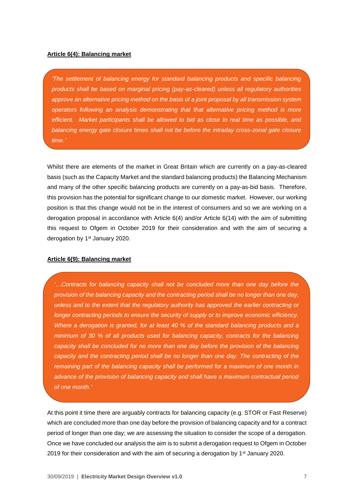#### **Article 6(4): Balancing market**

*'The settlement of balancing energy for standard balancing products and specific balancing products shall be based on marginal pricing (pay-as-cleared) unless all regulatory authorities approve an alternative pricing method on the basis of a joint proposal by all transmission system operators following an analysis demonstrating that that alternative pricing method is more efficient. Market participants shall be allowed to bid as close to real time as possible, and balancing energy gate closure times shall not be before the intraday cross-zonal gate closure time.'*

Whilst there are elements of the market in Great Britain which are currently on a pay-as-cleared basis (such as the Capacity Market and the standard balancing products) the Balancing Mechanism and many of the other specific balancing products are currently on a pay-as-bid basis. Therefore, this provision has the potential for significant change to our domestic market. However, our working position is that this change would not be in the interest of consumers and so we are working on a derogation proposal in accordance with Article 6(4) and/or Article 6(14) with the aim of submitting this request to Ofgem in October 2019 for their consideration and with the aim of securing a derogation by 1<sup>st</sup> January 2020.

#### **Article 6(9): Balancing market**

*'…Contracts for balancing capacity shall not be concluded more than one day before the provision of the balancing capacity and the contracting period shall be no longer than one day, unless and to the extent that the regulatory authority has approved the earlier contracting or longer contracting periods to ensure the security of supply or to improve economic efficiency. Where a derogation is granted, for at least 40 % of the standard balancing products and a minimum of 30 % of all products used for balancing capacity, contracts for the balancing capacity shall be concluded for no more than one day before the provision of the balancing capacity and the contracting period shall be no longer than one day. The contracting of the remaining part of the balancing capacity shall be performed for a maximum of one month in advance of the provision of balancing capacity and shall have a maximum contractual period of one month.'*

At this point it time there are arguably contracts for balancing capacity (e.g. STOR or Fast Reserve) which are concluded more than one day before the provision of balancing capacity and for a contract period of longer than one day; we are assessing the situation to consider the scope of a derogation. Once we have concluded our analysis the aim is to submit a derogation request to Ofgem in October 2019 for their consideration and with the aim of securing a derogation by 1<sup>st</sup> January 2020.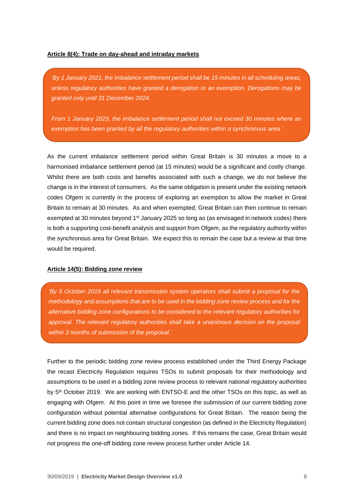#### **Article 8(4): Trade on day-ahead and intraday markets**

*'By 1 January 2021, the imbalance settlement period shall be 15 minutes in all scheduling areas, unless regulatory authorities have granted a derogation or an exemption. Derogations may be granted only until 31 December 2024.*

*From 1 January 2025, the imbalance settlement period shall not exceed 30 minutes where an exemption has been granted by all the regulatory authorities within a synchronous area.'*

As the current imbalance settlement period within Great Britain is 30 minutes a move to a harmonised imbalance settlement period (at 15 minutes) would be a significant and costly change. Whilst there are both costs and benefits associated with such a change, we do not believe the change is in the interest of consumers. As the same obligation is present under the existing network codes Ofgem is currently in the process of exploring an exemption to allow the market in Great Britain to remain at 30 minutes. As and when exempted, Great Britain can then continue to remain exempted at 30 minutes beyond 1<sup>st</sup> January 2025 so long as (as envisaged in network codes) there is both a supporting cost-benefit analysis and support from Ofgem, as the regulatory authority within the synchronous area for Great Britain. We expect this to remain the case but a review at that time would be required.

#### **Article 14(5): Bidding zone review**

*'By 5 October 2019 all relevant transmission system operators shall submit a proposal for the methodology and assumptions that are to be used in the bidding zone review process and for the alternative bidding zone configurations to be considered to the relevant regulatory authorities for approval. The relevant regulatory authorities shall take a unanimous decision on the proposal within 3 months of submission of the proposal.'*

Further to the periodic bidding zone review process established under the Third Energy Package the recast Electricity Regulation requires TSOs to submit proposals for their methodology and assumptions to be used in a bidding zone review process to relevant national regulatory authorities by 5<sup>th</sup> October 2019. We are working with ENTSO-E and the other TSOs on this topic, as well as engaging with Ofgem. At this point in time we foresee the submission of our current bidding zone configuration without potential alternative configurations for Great Britain. The reason being the current bidding zone does not contain structural congestion (as defined in the Electricity Regulation) and there is no impact on neighbouring bidding zones. If this remains the case, Great Britain would not progress the one-off bidding zone review process further under Article 14.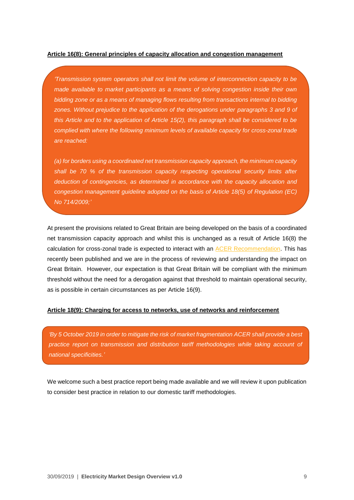#### **Article 16(8): General principles of capacity allocation and congestion management**

*'Transmission system operators shall not limit the volume of interconnection capacity to be made available to market participants as a means of solving congestion inside their own bidding zone or as a means of managing flows resulting from transactions internal to bidding zones. Without prejudice to the application of the derogations under paragraphs 3 and 9 of this Article and to the application of Article 15(2), this paragraph shall be considered to be complied with where the following minimum levels of available capacity for cross-zonal trade are reached:*

*(a) for borders using a coordinated net transmission capacity approach, the minimum capacity shall be 70 % of the transmission capacity respecting operational security limits after deduction of contingencies, as determined in accordance with the capacity allocation and congestion management guideline adopted on the basis of Article 18(5) of Regulation (EC) No 714/2009;'*

At present the provisions related to Great Britain are being developed on the basis of a coordinated net transmission capacity approach and whilst this is unchanged as a result of Article 16(8) the calculation for cross-zonal trade is expected to interact with an [ACER Recommendation.](https://www.acer.europa.eu/Media/News/Pages/Electricity-ACER-issues-a-Recommendation-for-implementing-the-70-minimum-margin-of-capacity-available-for-cross-border-trad.aspx) This has recently been published and we are in the process of reviewing and understanding the impact on Great Britain. However, our expectation is that Great Britain will be compliant with the minimum threshold without the need for a derogation against that threshold to maintain operational security, as is possible in certain circumstances as per Article 16(9).

#### **Article 18(9): Charging for access to networks, use of networks and reinforcement**

*'By 5 October 2019 in order to mitigate the risk of market fragmentation ACER shall provide a best practice report on transmission and distribution tariff methodologies while taking account of national specificities.'*

We welcome such a best practice report being made available and we will review it upon publication to consider best practice in relation to our domestic tariff methodologies.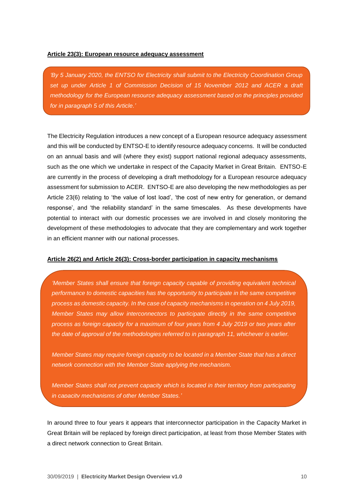#### **Article 23(3): European resource adequacy assessment**

*'By 5 January 2020, the ENTSO for Electricity shall submit to the Electricity Coordination Group set up under Article 1 of Commission Decision of 15 November 2012 and ACER a draft methodology for the European resource adequacy assessment based on the principles provided for in paragraph 5 of this Article.'*

The Electricity Regulation introduces a new concept of a European resource adequacy assessment and this will be conducted by ENTSO-E to identify resource adequacy concerns. It will be conducted on an annual basis and will (where they exist) support national regional adequacy assessments, such as the one which we undertake in respect of the Capacity Market in Great Britain. ENTSO-E are currently in the process of developing a draft methodology for a European resource adequacy assessment for submission to ACER. ENTSO-E are also developing the new methodologies as per Article 23(6) relating to 'the value of lost load', 'the cost of new entry for generation, or demand response', and 'the reliability standard' in the same timescales. As these developments have potential to interact with our domestic processes we are involved in and closely monitoring the development of these methodologies to advocate that they are complementary and work together in an efficient manner with our national processes.

#### **Article 26(2) and Article 26(3): Cross-border participation in capacity mechanisms**

*'Member States shall ensure that foreign capacity capable of providing equivalent technical performance to domestic capacities has the opportunity to participate in the same competitive process as domestic capacity. In the case of capacity mechanisms in operation on 4 July 2019, Member States may allow interconnectors to participate directly in the same competitive process as foreign capacity for a maximum of four years from 4 July 2019 or two years after the date of approval of the methodologies referred to in paragraph 11, whichever is earlier.*

*Member States may require foreign capacity to be located in a Member State that has a direct network connection with the Member State applying the mechanism.*

*Member States shall not prevent capacity which is located in their territory from participating in capacity mechanisms of other Member States.'*

In around three to four years it appears that interconnector participation in the Capacity Market in Great Britain will be replaced by foreign direct participation, at least from those Member States with a direct network connection to Great Britain.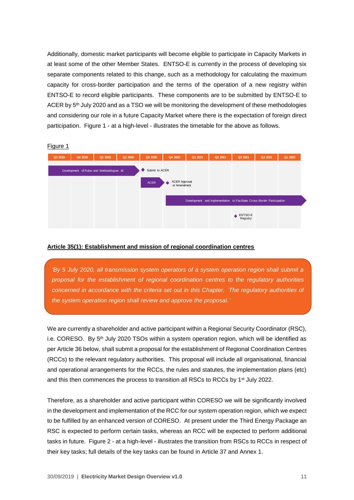Additionally, domestic market participants will become eligible to participate in Capacity Markets in at least some of the other Member States. ENTSO-E is currently in the process of developing six separate components related to this change, such as a methodology for calculating the maximum capacity for cross-border participation and the terms of the operation of a new registry within ENTSO-E to record eligible participants. These components are to be submitted by ENTSO-E to ACER by 5<sup>th</sup> July 2020 and as a TSO we will be monitoring the development of these methodologies and considering our role in a future Capacity Market where there is the expectation of foreign direct participation. Figure 1 - at a high-level - illustrates the timetable for the above as follows.



#### **Article 35(1): Establishment and mission of regional coordination centres**

*'By 5 July 2020, all transmission system operators of a system operation region shall submit a proposal for the establishment of regional coordination centres to the regulatory authorities concerned in accordance with the criteria set out in this Chapter. The regulatory authorities of the system operation region shall review and approve the proposal.'*

We are currently a shareholder and active participant within a Regional Security Coordinator (RSC), i.e. CORESO. By 5<sup>th</sup> July 2020 TSOs within a system operation region, which will be identified as per Article 36 below, shall submit a proposal for the establishment of Regional Coordination Centres (RCCs) to the relevant regulatory authorities. This proposal will include all organisational, financial and operational arrangements for the RCCs, the rules and statutes, the implementation plans (etc) and this then commences the process to transition all RSCs to RCCs by  $1<sup>st</sup>$  July 2022.

Therefore, as a shareholder and active participant within CORESO we will be significantly involved in the development and implementation of the RCC for our system operation region, which we expect to be fulfilled by an enhanced version of CORESO. At present under the Third Energy Package an RSC is expected to perform certain tasks, whereas an RCC will be expected to perform additional tasks in future. Figure 2 - at a high-level - illustrates the transition from RSCs to RCCs in respect of their key tasks; full details of the key tasks can be found in Article 37 and Annex 1.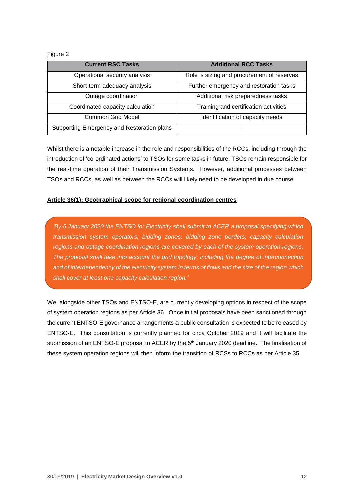#### Figure 2

| <b>Current RSC Tasks</b>                   | <b>Additional RCC Tasks</b>                |
|--------------------------------------------|--------------------------------------------|
| Operational security analysis              | Role is sizing and procurement of reserves |
| Short-term adequacy analysis               | Further emergency and restoration tasks    |
| Outage coordination                        | Additional risk preparedness tasks         |
| Coordinated capacity calculation           | Training and certification activities      |
| Common Grid Model                          | Identification of capacity needs           |
| Supporting Emergency and Restoration plans |                                            |

Whilst there is a notable increase in the role and responsibilities of the RCCs, including through the introduction of 'co-ordinated actions' to TSOs for some tasks in future, TSOs remain responsible for the real-time operation of their Transmission Systems. However, additional processes between TSOs and RCCs, as well as between the RCCs will likely need to be developed in due course.

#### **Article 36(1): Geographical scope for regional coordination centres**

*'By 5 January 2020 the ENTSO for Electricity shall submit to ACER a proposal specifying which transmission system operators, bidding zones, bidding zone borders, capacity calculation regions and outage coordination regions are covered by each of the system operation regions. The proposal shall take into account the grid topology, including the degree of interconnection and of interdependency of the electricity system in terms of flows and the size of the region which shall cover at least one capacity calculation region.'*

We, alongside other TSOs and ENTSO-E, are currently developing options in respect of the scope of system operation regions as per Article 36. Once initial proposals have been sanctioned through the current ENTSO-E governance arrangements a public consultation is expected to be released by ENTSO-E. This consultation is currently planned for circa October 2019 and it will facilitate the submission of an ENTSO-E proposal to ACER by the  $5<sup>th</sup>$  January 2020 deadline. The finalisation of these system operation regions will then inform the transition of RCSs to RCCs as per Article 35.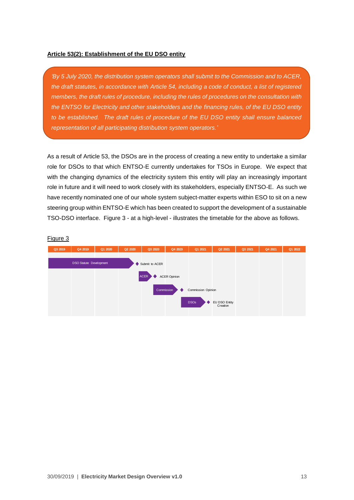#### **Article 53(2): Establishment of the EU DSO entity**

*'By 5 July 2020, the distribution system operators shall submit to the Commission and to ACER, the draft statutes, in accordance with Article 54, including a code of conduct, a list of registered members, the draft rules of procedure, including the rules of procedures on the consultation with the ENTSO for Electricity and other stakeholders and the financing rules, of the EU DSO entity to be established. The draft rules of procedure of the EU DSO entity shall ensure balanced representation of all participating distribution system operators.'*

As a result of Article 53, the DSOs are in the process of creating a new entity to undertake a similar role for DSOs to that which ENTSO-E currently undertakes for TSOs in Europe. We expect that with the changing dynamics of the electricity system this entity will play an increasingly important role in future and it will need to work closely with its stakeholders, especially ENTSO-E. As such we have recently nominated one of our whole system subject-matter experts within ESO to sit on a new steering group within ENTSO-E which has been created to support the development of a sustainable TSO-DSO interface. Figure 3 - at a high-level - illustrates the timetable for the above as follows.

## Figure 3

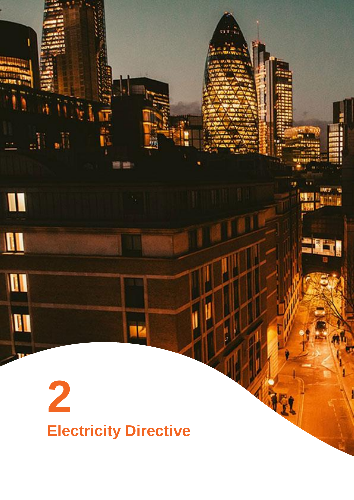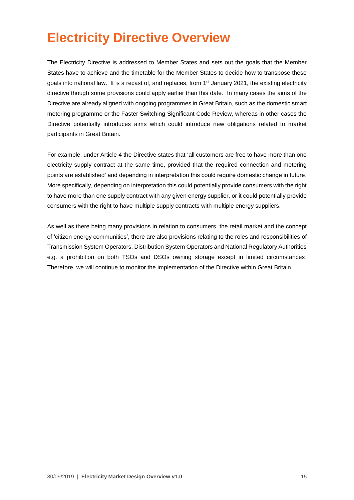## **Electricity Directive Overview**

The Electricity Directive is addressed to Member States and sets out the goals that the Member States have to achieve and the timetable for the Member States to decide how to transpose these goals into national law. It is a recast of, and replaces, from 1st January 2021, the existing electricity directive though some provisions could apply earlier than this date. In many cases the aims of the Directive are already aligned with ongoing programmes in Great Britain, such as the domestic smart metering programme or the Faster Switching Significant Code Review, whereas in other cases the Directive potentially introduces aims which could introduce new obligations related to market participants in Great Britain.

For example, under Article 4 the Directive states that 'all customers are free to have more than one electricity supply contract at the same time, provided that the required connection and metering points are established' and depending in interpretation this could require domestic change in future. More specifically, depending on interpretation this could potentially provide consumers with the right to have more than one supply contract with any given energy supplier, or it could potentially provide consumers with the right to have multiple supply contracts with multiple energy suppliers.

As well as there being many provisions in relation to consumers, the retail market and the concept of 'citizen energy communities', there are also provisions relating to the roles and responsibilities of Transmission System Operators, Distribution System Operators and National Regulatory Authorities e.g. a prohibition on both TSOs and DSOs owning storage except in limited circumstances. Therefore, we will continue to monitor the implementation of the Directive within Great Britain.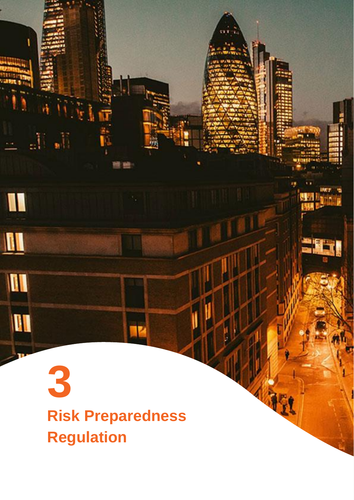3<br>Risk Preparedness<br>Regulation **Risk Preparedness Regulation**

 $\mathbb{J}_{\mathbf{z}}$ 

W

 $\blacksquare$ 

II

III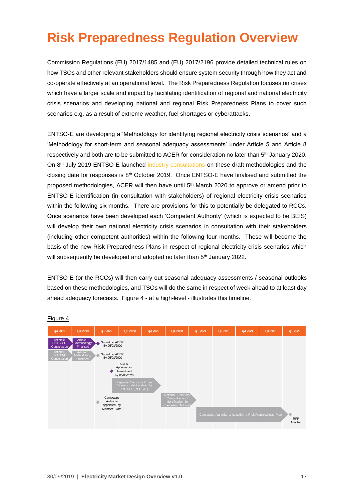## **Risk Preparedness Regulation Overview**

Commission Regulations (EU) 2017/1485 and (EU) 2017/2196 provide detailed technical rules on how TSOs and other relevant stakeholders should ensure system security through how they act and co-operate effectively at an operational level. The Risk Preparedness Regulation focuses on crises which have a larger scale and impact by facilitating identification of regional and national electricity crisis scenarios and developing national and regional Risk Preparedness Plans to cover such scenarios e.g. as a result of extreme weather, fuel shortages or cyberattacks.

ENTSO-E are developing a 'Methodology for identifying regional electricity crisis scenarios' and a 'Methodology for short-term and seasonal adequacy assessments' under Article 5 and Article 8 respectively and both are to be submitted to ACER for consideration no later than 5<sup>th</sup> January 2020. On 8<sup>th</sup> July 2019 ENTSO-E launched [industry consultations](https://consultations.entsoe.eu/) on these draft methodologies and the closing date for responses is 8th October 2019. Once ENTSO-E have finalised and submitted the proposed methodologies, ACER will then have until 5th March 2020 to approve or amend prior to ENTSO-E identification (in consultation with stakeholders) of regional electricity crisis scenarios within the following six months. There are provisions for this to potentially be delegated to RCCs. Once scenarios have been developed each 'Competent Authority' (which is expected to be BEIS) will develop their own national electricity crisis scenarios in consultation with their stakeholders (including other competent authorities) within the following four months. These will become the basis of the new Risk Preparedness Plans in respect of regional electricity crisis scenarios which will subsequently be developed and adopted no later than 5<sup>th</sup> January 2022.

ENTSO-E (or the RCCs) will then carry out seasonal adequacy assessments / seasonal outlooks based on these methodologies, and TSOs will do the same in respect of week ahead to at least day ahead adequacy forecasts. Figure 4 - at a high-level - illustrates this timeline.



#### Figure 4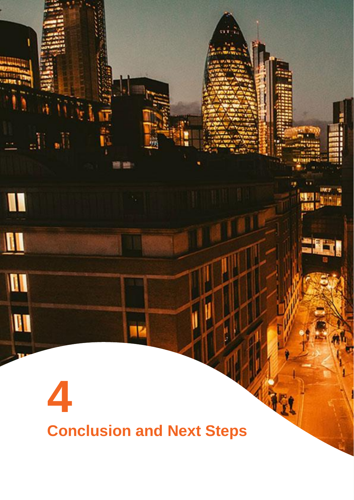# **4 Conclusion and Next Steps**

 $\frac{1}{2} \prod_{i=1}^n \frac{1}{2}$ 

I

 $\blacksquare$ 

M

I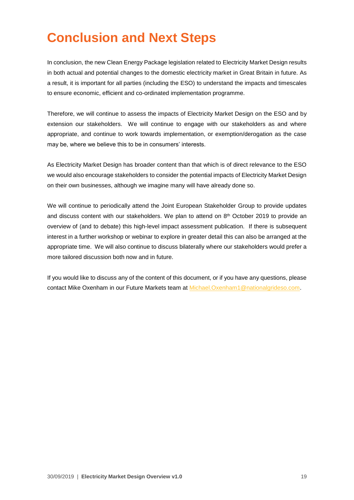## **Conclusion and Next Steps**

In conclusion, the new Clean Energy Package legislation related to Electricity Market Design results in both actual and potential changes to the domestic electricity market in Great Britain in future. As a result, it is important for all parties (including the ESO) to understand the impacts and timescales to ensure economic, efficient and co-ordinated implementation programme.

Therefore, we will continue to assess the impacts of Electricity Market Design on the ESO and by extension our stakeholders. We will continue to engage with our stakeholders as and where appropriate, and continue to work towards implementation, or exemption/derogation as the case may be, where we believe this to be in consumers' interests.

As Electricity Market Design has broader content than that which is of direct relevance to the ESO we would also encourage stakeholders to consider the potential impacts of Electricity Market Design on their own businesses, although we imagine many will have already done so.

We will continue to periodically attend the Joint European Stakeholder Group to provide updates and discuss content with our stakeholders. We plan to attend on 8<sup>th</sup> October 2019 to provide an overview of (and to debate) this high-level impact assessment publication. If there is subsequent interest in a further workshop or webinar to explore in greater detail this can also be arranged at the appropriate time. We will also continue to discuss bilaterally where our stakeholders would prefer a more tailored discussion both now and in future.

If you would like to discuss any of the content of this document, or if you have any questions, please contact Mike Oxenham in our Future Markets team at [Michael.Oxenham1@nationalgrideso.com.](mailto:Michael.Oxenham1@nationalgrideso.com)